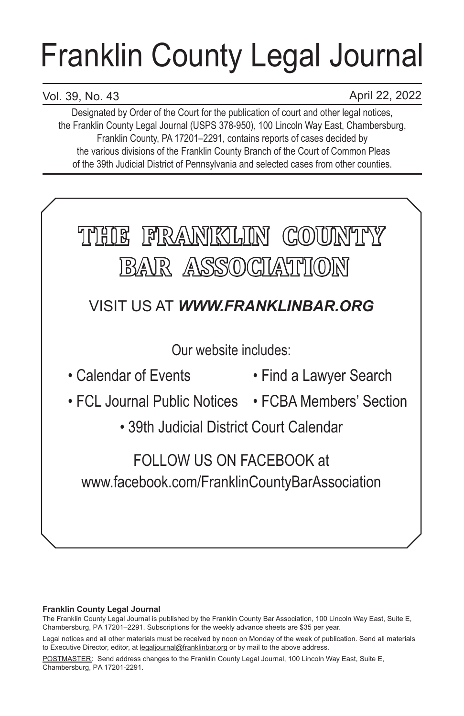# Franklin County Legal Journal

# Vol. 39, No. 43

April 22, 2022

Designated by Order of the Court for the publication of court and other legal notices, the Franklin County Legal Journal (USPS 378-950), 100 Lincoln Way East, Chambersburg, Franklin County, PA 17201–2291, contains reports of cases decided by the various divisions of the Franklin County Branch of the Court of Common Pleas of the 39th Judicial District of Pennsylvania and selected cases from other counties.



# **Franklin County Legal Journal**

The Franklin County Legal Journal is published by the Franklin County Bar Association, 100 Lincoln Way East, Suite E, Chambersburg, PA 17201–2291. Subscriptions for the weekly advance sheets are \$35 per year.

POSTMASTER: Send address changes to the Franklin County Legal Journal, 100 Lincoln Way East, Suite E, Chambersburg, PA 17201-2291.

Legal notices and all other materials must be received by noon on Monday of the week of publication. Send all materials to Executive Director, editor, at legaljournal@franklinbar.org or by mail to the above address.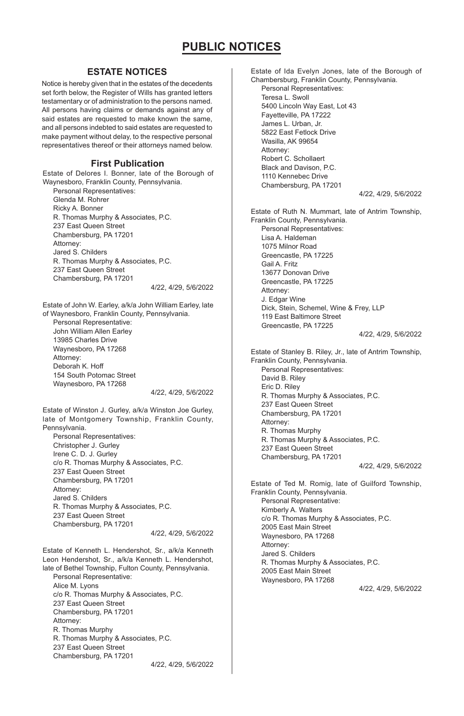## **ESTATE NOTICES**

Notice is hereby given that in the estates of the decedents set forth below, the Register of Wills has granted letters testamentary or of administration to the persons named. All persons having claims or demands against any of said estates are requested to make known the same, and all persons indebted to said estates are requested to make payment without delay, to the respective personal representatives thereof or their attorneys named below.

#### **First Publication**

Estate of Delores I. Bonner, late of the Borough of Waynesboro, Franklin County, Pennsylvania.

Personal Representatives: Glenda M. Rohrer Ricky A. Bonner R. Thomas Murphy & Associates, P.C. 237 East Queen Street Chambersburg, PA 17201 Attorney: Jared S. Childers R. Thomas Murphy & Associates, P.C. 237 East Queen Street Chambersburg, PA 17201

4/22, 4/29, 5/6/2022

Estate of John W. Earley, a/k/a John William Earley, late of Waynesboro, Franklin County, Pennsylvania. Personal Representative: John William Allen Earley 13985 Charles Drive Waynesboro, PA 17268 Attorney: Deborah K. Hoff 154 South Potomac Street Waynesboro, PA 17268

4/22, 4/29, 5/6/2022

Estate of Winston J. Gurley, a/k/a Winston Joe Gurley, late of Montgomery Township, Franklin County, Pennsylvania. Personal Representatives: Christopher J. Gurley

Irene C. D. J. Gurley c/o R. Thomas Murphy & Associates, P.C. 237 East Queen Street Chambersburg, PA 17201 Attorney: Jared S. Childers R. Thomas Murphy & Associates, P.C. 237 East Queen Street Chambersburg, PA 17201

4/22, 4/29, 5/6/2022

Estate of Kenneth L. Hendershot, Sr., a/k/a Kenneth Leon Hendershot, Sr., a/k/a Kenneth L. Hendershot, late of Bethel Township, Fulton County, Pennsylvania. Personal Representative: Alice M. Lyons c/o R. Thomas Murphy & Associates, P.C. 237 East Queen Street Chambersburg, PA 17201 Attorney: R. Thomas Murphy R. Thomas Murphy & Associates, P.C. 237 East Queen Street Chambersburg, PA 17201 4/22, 4/29, 5/6/2022

Estate of Ida Evelyn Jones, late of the Borough of Chambersburg, Franklin County, Pennsylvania. Personal Representatives: Teresa L. Swoll 5400 Lincoln Way East, Lot 43 Fayetteville, PA 17222 James L. Urban, Jr. 5822 East Fetlock Drive Wasilla, AK 99654 Attorney: Robert C. Schollaert Black and Davison, P.C. 1110 Kennebec Drive Chambersburg, PA 17201 4/22, 4/29, 5/6/2022 Estate of Ruth N. Mummart, late of Antrim Township, Franklin County, Pennsylvania. Personal Representatives: Lisa A. Haldeman 1075 Milnor Road Greencastle, PA 17225 Gail A. Fritz 13677 Donovan Drive Greencastle, PA 17225 Attorney: J. Edgar Wine Dick, Stein, Schemel, Wine & Frey, LLP 119 East Baltimore Street Greencastle, PA 17225 4/22, 4/29, 5/6/2022 Estate of Stanley B. Riley, Jr., late of Antrim Township, Franklin County, Pennsylvania. Personal Representatives: David B. Riley Eric D. Riley R. Thomas Murphy & Associates, P.C. 237 East Queen Street Chambersburg, PA 17201 Attorney: R. Thomas Murphy R. Thomas Murphy & Associates, P.C. 237 East Queen Street Chambersburg, PA 17201 4/22, 4/29, 5/6/2022 Estate of Ted M. Romig, late of Guilford Township, Franklin County, Pennsylvania. Personal Representative: Kimberly A. Walters c/o R. Thomas Murphy & Associates, P.C. 2005 East Main Street Waynesboro, PA 17268 Attorney: Jared S. Childers R. Thomas Murphy & Associates, P.C. 2005 East Main Street Waynesboro, PA 17268 4/22, 4/29, 5/6/2022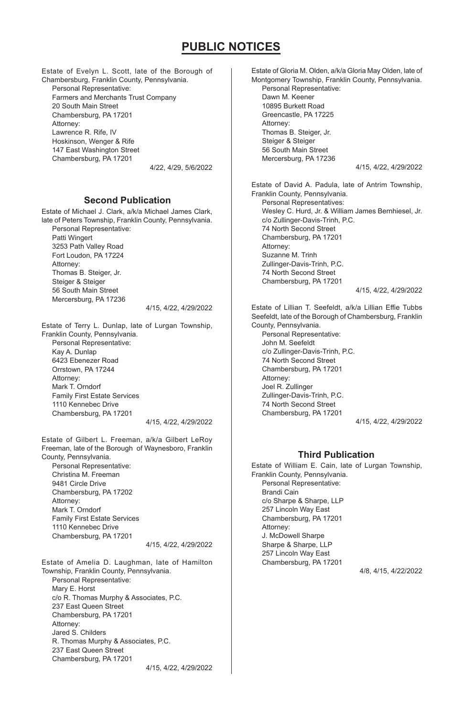Estate of Evelyn L. Scott, late of the Borough of Chambersburg, Franklin County, Pennsylvania. Personal Representative: Farmers and Merchants Trust Company 20 South Main Street Chambersburg, PA 17201 Attorney: Lawrence R. Rife, IV Hoskinson, Wenger & Rife 147 East Washington Street Chambersburg, PA 17201

4/22, 4/29, 5/6/2022

## **Second Publication**

Estate of Michael J. Clark, a/k/a Michael James Clark, late of Peters Township, Franklin County, Pennsylvania. Personal Representative: Patti Wingert 3253 Path Valley Road Fort Loudon, PA 17224 Attorney: Thomas B. Steiger, Jr. Steiger & Steiger 56 South Main Street Mercersburg, PA 17236 4/15, 4/22, 4/29/2022

Estate of Terry L. Dunlap, late of Lurgan Township, Franklin County, Pennsylvania. Personal Representative: Kay A. Dunlap 6423 Ebenezer Road Orrstown, PA 17244 Attorney: Mark T. Orndorf Family First Estate Services 1110 Kennebec Drive Chambersburg, PA 17201 4/15, 4/22, 4/29/2022

Estate of Gilbert L. Freeman, a/k/a Gilbert LeRoy Freeman, late of the Borough of Waynesboro, Franklin County, Pennsylvania.

Personal Representative: Christina M. Freeman 9481 Circle Drive Chambersburg, PA 17202 Attorney: Mark T. Orndorf Family First Estate Services 1110 Kennebec Drive Chambersburg, PA 17201

4/15, 4/22, 4/29/2022

Estate of Amelia D. Laughman, late of Hamilton Township, Franklin County, Pennsylvania. Personal Representative: Mary E. Horst c/o R. Thomas Murphy & Associates, P.C. 237 East Queen Street Chambersburg, PA 17201 Attorney: Jared S. Childers R. Thomas Murphy & Associates, P.C. 237 East Queen Street Chambersburg, PA 17201 4/15, 4/22, 4/29/2022

Estate of Gloria M. Olden, a/k/a Gloria May Olden, late of Montgomery Township, Franklin County, Pennsylvania. Personal Representative: Dawn M. Keener 10895 Burkett Road Greencastle, PA 17225 Attorney: Thomas B. Steiger, Jr. Steiger & Steiger 56 South Main Street Mercersburg, PA 17236 4/15, 4/22, 4/29/2022 Estate of David A. Padula, late of Antrim Township, Franklin County, Pennsylvania. Personal Representatives: Wesley C. Hurd, Jr. & William James Bernhiesel, Jr. c/o Zullinger-Davis-Trinh, P.C. 74 North Second Street Chambersburg, PA 17201 Attorney: Suzanne M. Trinh Zullinger-Davis-Trinh, P.C. 74 North Second Street Chambersburg, PA 17201 4/15, 4/22, 4/29/2022

Estate of Lillian T. Seefeldt, a/k/a Lillian Effie Tubbs Seefeldt, late of the Borough of Chambersburg, Franklin County, Pennsylvania.

Personal Representative: John M. Seefeldt c/o Zullinger-Davis-Trinh, P.C. 74 North Second Street Chambersburg, PA 17201 Attorney: Joel R. Zullinger Zullinger-Davis-Trinh, P.C. 74 North Second Street Chambersburg, PA 17201

4/15, 4/22, 4/29/2022

## **Third Publication**

Estate of William E. Cain, late of Lurgan Township, Franklin County, Pennsylvania. Personal Representative: Brandi Cain c/o Sharpe & Sharpe, LLP 257 Lincoln Way East Chambersburg, PA 17201 Attorney: J. McDowell Sharpe Sharpe & Sharpe, LLP 257 Lincoln Way East Chambersburg, PA 17201 4/8, 4/15, 4/22/2022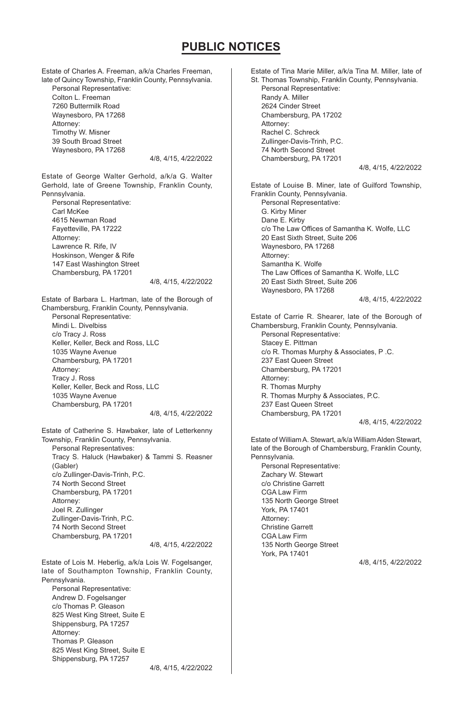Estate of Charles A. Freeman, a/k/a Charles Freeman, late of Quincy Township, Franklin County, Pennsylvania. Personal Representative: Colton L. Freeman 7260 Buttermilk Road Waynesboro, PA 17268 Attorney: Timothy W. Misner 39 South Broad Street Waynesboro, PA 17268 4/8, 4/15, 4/22/2022 Estate of George Walter Gerhold, a/k/a G. Walter Gerhold, late of Greene Township, Franklin County, Pennsylvania. Personal Representative: Carl McKee 4615 Newman Road Fayetteville, PA 17222 Attorney: Lawrence R. Rife, IV Hoskinson, Wenger & Rife 147 East Washington Street Chambersburg, PA 17201 4/8, 4/15, 4/22/2022 Estate of Barbara L. Hartman, late of the Borough of Chambersburg, Franklin County, Pennsylvania. Personal Representative: Mindi L. Divelbiss c/o Tracy J. Ross Keller, Keller, Beck and Ross, LLC 1035 Wayne Avenue Chambersburg, PA 17201 Attorney: Tracy J. Ross Keller, Keller, Beck and Ross, LLC 1035 Wayne Avenue Chambersburg, PA 17201 4/8, 4/15, 4/22/2022 Estate of Catherine S. Hawbaker, late of Letterkenny Township, Franklin County, Pennsylvania. Personal Representatives: Tracy S. Haluck (Hawbaker) & Tammi S. Reasner (Gabler) c/o Zullinger-Davis-Trinh, P.C. 74 North Second Street Chambersburg, PA 17201 Attorney: Joel R. Zullinger Zullinger-Davis-Trinh, P.C. 74 North Second Street Chambersburg, PA 17201 4/8, 4/15, 4/22/2022 Estate of Lois M. Heberlig, a/k/a Lois W. Fogelsanger, late of Southampton Township, Franklin County, Pennsylvania. Personal Representative: Andrew D. Fogelsanger c/o Thomas P. Gleason 825 West King Street, Suite E Shippensburg, PA 17257 Attorney: Thomas P. Gleason 825 West King Street, Suite E Shippensburg, PA 17257 4/8, 4/15, 4/22/2022 Estate of Tina Marie Miller, a/k/a Tina M. Miller, late of St. Thomas Township, Franklin County, Pennsylvania. Personal Representative: Randy A. Miller 2624 Cinder Street Chambersburg, PA 17202 Attorney: Rachel C. Schreck Zullinger-Davis-Trinh, P.C. 74 North Second Street Chambersburg, PA 17201 4/8, 4/15, 4/22/2022 Estate of Louise B. Miner, late of Guilford Township, Franklin County, Pennsylvania. Personal Representative: G. Kirby Miner Dane E. Kirby c/o The Law Offices of Samantha K. Wolfe, LLC 20 East Sixth Street, Suite 206 Waynesboro, PA 17268 Attorney: Samantha K. Wolfe The Law Offices of Samantha K. Wolfe, LLC 20 East Sixth Street, Suite 206 Waynesboro, PA 17268 4/8, 4/15, 4/22/2022 Estate of Carrie R. Shearer, late of the Borough of Chambersburg, Franklin County, Pennsylvania. Personal Representative: Stacey E. Pittman c/o R. Thomas Murphy & Associates, P .C. 237 East Queen Street Chambersburg, PA 17201 Attorney: R. Thomas Murphy R. Thomas Murphy & Associates, P.C. 237 East Queen Street Chambersburg, PA 17201 4/8, 4/15, 4/22/2022 Estate of William A. Stewart, a/k/a William Alden Stewart, late of the Borough of Chambersburg, Franklin County, Pennsylvania. Personal Representative: Zachary W. Stewart c/o Christine Garrett CGA Law Firm 135 North George Street York, PA 17401 Attorney: Christine Garrett CGA Law Firm 135 North George Street York, PA 17401 4/8, 4/15, 4/22/2022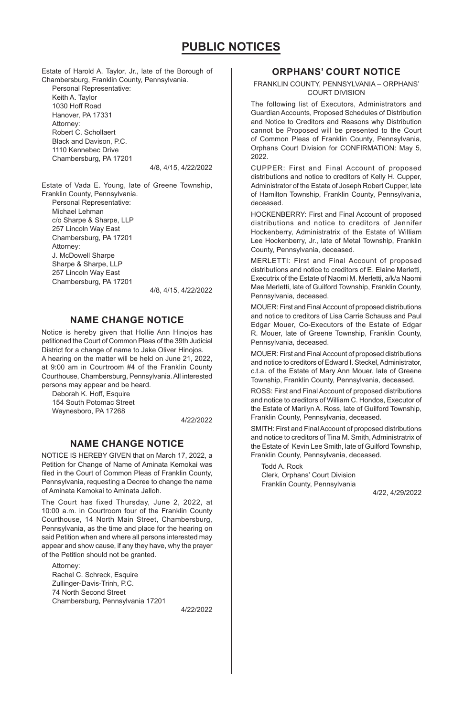Estate of Harold A. Taylor, Jr., late of the Borough of Chambersburg, Franklin County, Pennsylvania. Personal Representative: Keith A. Taylor 1030 Hoff Road Hanover, PA 17331 Attorney: Robert C. Schollaert Black and Davison, P.C. 1110 Kennebec Drive Chambersburg, PA 17201

4/8, 4/15, 4/22/2022

Estate of Vada E. Young, late of Greene Township, Franklin County, Pennsylvania. Personal Representative: Michael Lehman c/o Sharpe & Sharpe, LLP 257 Lincoln Way East Chambersburg, PA 17201 Attorney:

J. McDowell Sharpe Sharpe & Sharpe, LLP 257 Lincoln Way East Chambersburg, PA 17201

4/8, 4/15, 4/22/2022

## **NAME CHANGE NOTICE**

Notice is hereby given that Hollie Ann Hinojos has petitioned the Court of Common Pleas of the 39th Judicial District for a change of name to Jake Oliver Hinojos. A hearing on the matter will be held on June 21, 2022, at 9:00 am in Courtroom #4 of the Franklin County Courthouse, Chambersburg, Pennsylvania. All interested persons may appear and be heard.

Deborah K. Hoff, Esquire 154 South Potomac Street Waynesboro, PA 17268

4/22/2022

## **NAME CHANGE NOTICE**

NOTICE IS HEREBY GIVEN that on March 17, 2022, a Petition for Change of Name of Aminata Kemokai was filed in the Court of Common Pleas of Franklin County, Pennsylvania, requesting a Decree to change the name of Aminata Kemokai to Aminata Jalloh.

The Court has fixed Thursday, June 2, 2022, at 10:00 a.m. in Courtroom four of the Franklin County Courthouse, 14 North Main Street, Chambersburg, Pennsylvania, as the time and place for the hearing on said Petition when and where all persons interested may appear and show cause, if any they have, why the prayer of the Petition should not be granted.

Attorney: Rachel C. Schreck, Esquire Zullinger-Davis-Trinh, P.C. 74 North Second Street Chambersburg, Pennsylvania 17201

4/22/2022

## **ORPHANS' COURT NOTICE**

FRANKLIN COUNTY, PENNSYLVANIA – ORPHANS' COURT DIVISION

The following list of Executors, Administrators and Guardian Accounts, Proposed Schedules of Distribution and Notice to Creditors and Reasons why Distribution cannot be Proposed will be presented to the Court of Common Pleas of Franklin County, Pennsylvania, Orphans Court Division for CONFIRMATION: May 5, 2022

CUPPER: First and Final Account of proposed distributions and notice to creditors of Kelly H. Cupper, Administrator of the Estate of Joseph Robert Cupper, late of Hamilton Township, Franklin County, Pennsylvania, deceased.

HOCKENBERRY: First and Final Account of proposed distributions and notice to creditors of Jennifer Hockenberry, Administratrix of the Estate of William Lee Hockenberry, Jr., late of Metal Township, Franklin County, Pennsylvania, deceased.

MERLETTI: First and Final Account of proposed distributions and notice to creditors of E. Elaine Merletti, Executrix of the Estate of Naomi M. Merletti, a/k/a Naomi Mae Merletti, late of Guilford Township, Franklin County, Pennsylvania, deceased.

MOUER: First and Final Account of proposed distributions and notice to creditors of Lisa Carrie Schauss and Paul Edgar Mouer, Co-Executors of the Estate of Edgar R. Mouer, late of Greene Township, Franklin County, Pennsylvania, deceased.

MOUER: First and Final Account of proposed distributions and notice to creditors of Edward I. Steckel, Administrator, c.t.a. of the Estate of Mary Ann Mouer, late of Greene Township, Franklin County, Pennsylvania, deceased.

ROSS: First and Final Account of proposed distributions and notice to creditors of William C. Hondos, Executor of the Estate of Marilyn A. Ross, late of Guilford Township, Franklin County, Pennsylvania, deceased.

SMITH: First and Final Account of proposed distributions and notice to creditors of Tina M. Smith, Administratrix of the Estate of Kevin Lee Smith, late of Guilford Township, Franklin County, Pennsylvania, deceased.

Todd A. Rock Clerk, Orphans' Court Division Franklin County, Pennsylvania

4/22, 4/29/2022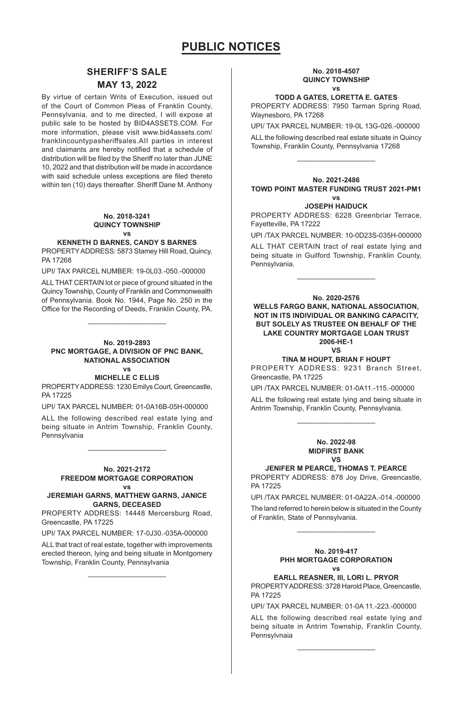## **SHERIFF'S SALE MAY 13, 2022**

By virtue of certain Writs of Execution, issued out of the Court of Common Pleas of Franklin County, Pennsylvania, and to me directed, I will expose at public sale to be hosted by BID4ASSETS.COM. For more information, please visit www.bid4assets.com/ franklincountypasheriffsales.AII parties in interest and claimants are hereby notified that a schedule of distribution will be filed by the Sheriff no later than JUNE 10, 2022 and that distribution will be made in accordance with said schedule unless exceptions are filed thereto within ten (10) days thereafter. Sheriff Dane M. Anthony

#### **No. 2018-3241 QUINCY TOWNSHIP vs**

#### **KENNETH D BARNES, CANDY S BARNES**

PROPERTY ADDRESS: 5873 Stamey Hill Road, Quincy, PA 17268

UPI/ TAX PARCEL NUMBER: 19-0L03.-050.-000000

ALL THAT CERTAIN lot or piece of ground situated in the Quincy Township, County of Franklin and Commonwealth of Pennsylvania. Book No. 1944, Page No. 250 in the Office for the Recording of Deeds, Franklin County, PA.

 $\mathcal{L}=\{L_1,L_2,\ldots,L_n\}$ 

#### **No. 2019-2893 PNC MORTGAGE, A DIVISION OF PNC BANK, NATIONAL ASSOCIATION vs**

### **MICHELLE C ELLIS**

PROPERTY ADDRESS: 1230 Emilys Court, Greencastle, PA 17225

UPI/ TAX PARCEL NUMBER: 01-0A16B-05H-000000

ALL the following described real estate lying and being situate in Antrim Township, Franklin County, Pennsylvania \_\_\_\_\_\_\_\_\_\_\_\_\_\_\_\_\_\_\_\_

#### **No. 2021-2172 FREEDOM MORTGAGE CORPORATION vs**

#### **JEREMIAH GARNS, MATTHEW GARNS, JANICE GARNS, DECEASED**

PROPERTY ADDRESS: 14448 Mercersburg Road, Greencastle, PA 17225

UPI/ TAX PARCEL NUMBER: 17-0J30.-035A-000000

ALL that tract of real estate, together with improvements erected thereon, lying and being situate in Montgomery Township, Franklin County, Pennsylvania  $\mathcal{L}=\{L_1,L_2,\ldots,L_n\}$ 

#### **No. 2018-4507 QUINCY TOWNSHIP vs**

#### **TODD A GATES, LORETTA E. GATES**

PROPERTY ADDRESS: 7950 Tarman Spring Road, Waynesboro, PA 17268

UPI/ TAX PARCEL NUMBER: 19-0L 13G-026.-000000

ALL the following described real estate situate in Quincy Township, Franklin County, Pennsylvania 17268 \_\_\_\_\_\_\_\_\_\_\_\_\_\_\_\_\_\_\_\_

**No. 2021-2486 TOWD POINT MASTER FUNDING TRUST 2021-PM1 vs**

#### **JOSEPH HAIDUCK**

PROPERTY ADDRESS: 6228 Greenbriar Terrace, Fayetteville, PA 17222

UPI /TAX PARCEL NUMBER: 10-0D23S-035H-000000

ALL THAT CERTAIN tract of real estate lying and being situate in Guilford Township, Franklin County, Pennsylvania. \_\_\_\_\_\_\_\_\_\_\_\_\_\_\_\_\_\_\_\_

#### **No. 2020-2576**

**WELLS FARGO BANK, NATIONAL ASSOCIATION, NOT IN ITS INDIVIDUAL OR BANKING CAPACITY, BUT SOLELY AS TRUSTEE ON BEHALF OF THE LAKE COUNTRY MORTGAGE LOAN TRUST 2006-HE-1**  $V<sub>c</sub>$ 

#### **TINA M HOUPT, BRIAN F HOUPT**

PROPERTY ADDRESS: 9231 Branch Street, Greencastle, PA 17225

UPI /TAX PARCEL NUMBER: 01-0A11.-115.-000000

ALL the following real estate lying and being situate in Antrim Township, Franklin County, Pennsylvania. \_\_\_\_\_\_\_\_\_\_\_\_\_\_\_\_\_\_\_\_

#### **No. 2022-98 MIDFIRST BANK VS**

#### **JENIFER M PEARCE, THOMAS T. PEARCE**

PROPERTY ADDRESS: 878 Joy Drive, Greencastle, PA 17225

UPI /TAX PARCEL NUMBER: 01-0A22A.-014.-000000

The land referred to herein below is situated in the County of Franklin, State of Pennsylvania. \_\_\_\_\_\_\_\_\_\_\_\_\_\_\_\_\_\_\_\_

#### **No. 2019-417 PHH MORTGAGE CORPORATION vs**

**EARLL REASNER, Ill, LORI L. PRYOR**

PROPERTY ADDRESS: 3728 Harold Place, Greencastle, PA 17225

UPI/ TAX PARCEL NUMBER: 01-0A 11.-223.-000000

ALL the following described real estate lying and being situate in Antrim Township, Franklin County, Pennsylvnaia

\_\_\_\_\_\_\_\_\_\_\_\_\_\_\_\_\_\_\_\_